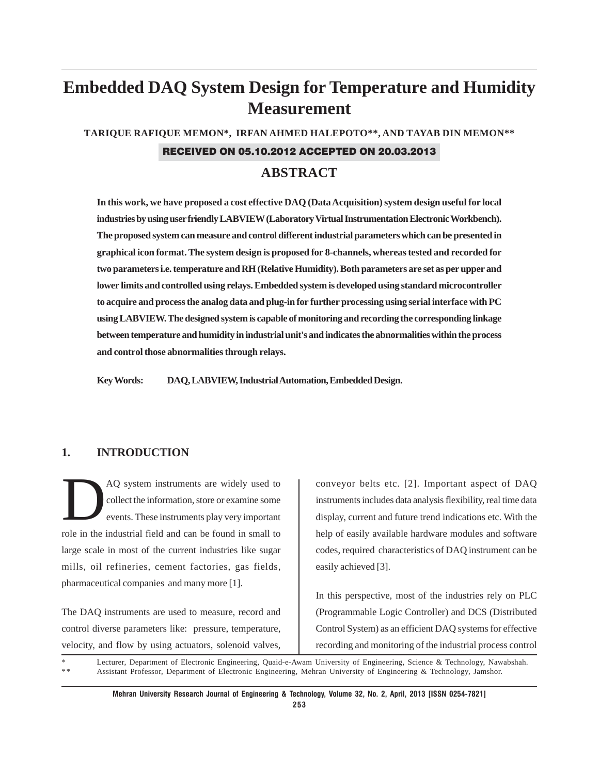# **Embedded DAQ System Design for Temperature and Humidity Measurement**

**TARIQUE RAFIQUE MEMON\*, IRFAN AHMED HALEPOTO\*\*, AND TAYAB DIN MEMON\*\***

#### RECEIVED ON 05.10.2012 ACCEPTED ON 20.03.2013

### **ABSTRACT**

**In this work, we have proposed a cost effective DAQ (Data Acquisition) system design useful for local industries by using user friendly LABVIEW (Laboratory Virtual Instrumentation Electronic Workbench). The proposed system can measure and control different industrial parameters which can be presented in graphical icon format. The system design is proposed for 8-channels, whereas tested and recorded for two parameters i.e. temperature and RH (Relative Humidity). Both parameters are set as per upper and lower limits and controlled using relays. Embedded system is developed using standard microcontroller to acquire and process the analog data and plug-in for further processing using serial interface with PC using LABVIEW. The designed system is capable of monitoring and recording the corresponding linkage between temperature and humidity in industrial unit's and indicates the abnormalities within the process and control those abnormalities through relays.**

**Key Words: DAQ, LABVIEW, Industrial Automation, Embedded Design.**

### **1. INTRODUCTION**

AQ system instruments are widely used to collect the information, store or examine some events. These instruments play very important role in the industrial field and can be found in small to large scale in most of the current industries like sugar mills, oil refineries, cement factories, gas fields, pharmaceutical companies and many more [1].

The DAQ instruments are used to measure, record and control diverse parameters like: pressure, temperature, velocity, and flow by using actuators, solenoid valves, conveyor belts etc. [2]. Important aspect of DAQ instruments includes data analysis flexibility, real time data display, current and future trend indications etc. With the help of easily available hardware modules and software codes, required characteristics of DAQ instrument can be easily achieved [3].

In this perspective, most of the industries rely on PLC (Programmable Logic Controller) and DCS (Distributed Control System) as an efficient DAQ systems for effective recording and monitoring of the industrial process control

Lecturer, Department of Electronic Engineering, Quaid-e-Awam University of Engineering, Science & Technology, Nawabshah. \* \* Assistant Professor, Department of Electronic Engineering, Mehran University of Engineering & Technology, Jamshor.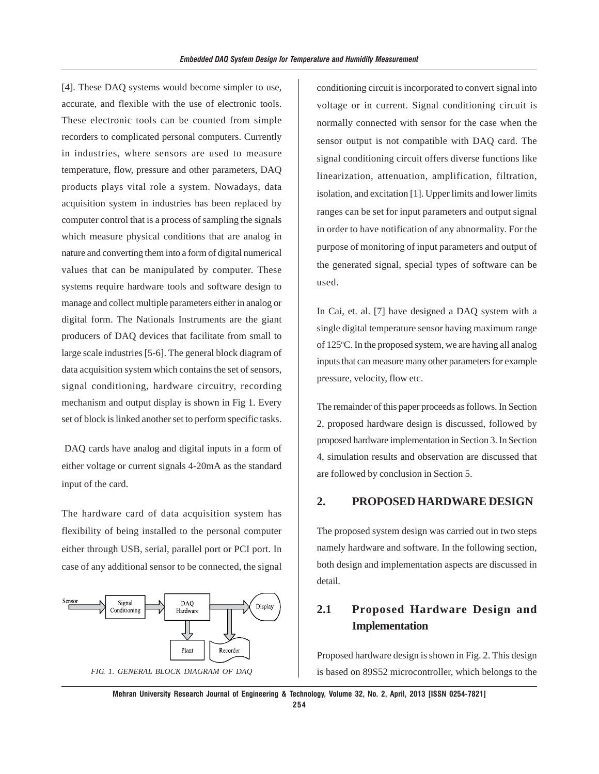[4]. These DAQ systems would become simpler to use, accurate, and flexible with the use of electronic tools. These electronic tools can be counted from simple recorders to complicated personal computers. Currently in industries, where sensors are used to measure temperature, flow, pressure and other parameters, DAQ products plays vital role a system. Nowadays, data acquisition system in industries has been replaced by computer control that is a process of sampling the signals which measure physical conditions that are analog in nature and converting them into a form of digital numerical values that can be manipulated by computer. These systems require hardware tools and software design to manage and collect multiple parameters either in analog or digital form. The Nationals Instruments are the giant producers of DAQ devices that facilitate from small to large scale industries [5-6]. The general block diagram of data acquisition system which contains the set of sensors, signal conditioning, hardware circuitry, recording mechanism and output display is shown in Fig 1. Every set of block is linked another set to perform specific tasks.

 DAQ cards have analog and digital inputs in a form of either voltage or current signals 4-20mA as the standard input of the card.

The hardware card of data acquisition system has flexibility of being installed to the personal computer either through USB, serial, parallel port or PCI port. In case of any additional sensor to be connected, the signal



conditioning circuit is incorporated to convert signal into voltage or in current. Signal conditioning circuit is normally connected with sensor for the case when the sensor output is not compatible with DAQ card. The signal conditioning circuit offers diverse functions like linearization, attenuation, amplification, filtration, isolation, and excitation [1]. Upper limits and lower limits ranges can be set for input parameters and output signal in order to have notification of any abnormality. For the purpose of monitoring of input parameters and output of the generated signal, special types of software can be used.

In Cai, et. al. [7] have designed a DAQ system with a single digital temperature sensor having maximum range of 125°C. In the proposed system, we are having all analog inputs that can measure many other parameters for example pressure, velocity, flow etc.

The remainder of this paper proceeds as follows. In Section 2, proposed hardware design is discussed, followed by proposed hardware implementation in Section 3. In Section 4, simulation results and observation are discussed that are followed by conclusion in Section 5.

#### **2. PROPOSED HARDWARE DESIGN**

The proposed system design was carried out in two steps namely hardware and software. In the following section, both design and implementation aspects are discussed in detail.

# **2.1 Proposed Hardware Design and Implementation**

Proposed hardware design is shown in Fig. 2. This design *FIG. 1. GENERAL BLOCK DIAGRAM OF DAQ* is based on 89S52 microcontroller, which belongs to the

**Mehran University Research Journal of Engineering & Technology, Volume 32, No. 2, April, 2013 [ISSN 0254-7821] 254**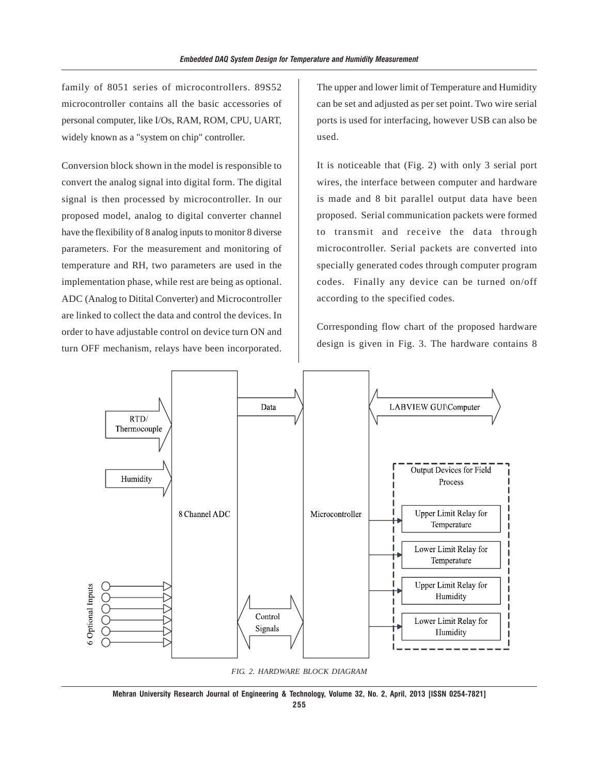family of 8051 series of microcontrollers. 89S52 microcontroller contains all the basic accessories of personal computer, like I/Os, RAM, ROM, CPU, UART, widely known as a "system on chip" controller.

Conversion block shown in the model is responsible to convert the analog signal into digital form. The digital signal is then processed by microcontroller. In our proposed model, analog to digital converter channel have the flexibility of 8 analog inputs to monitor 8 diverse parameters. For the measurement and monitoring of temperature and RH, two parameters are used in the implementation phase, while rest are being as optional. ADC (Analog to Ditital Converter) and Microcontroller are linked to collect the data and control the devices. In order to have adjustable control on device turn ON and turn OFF mechanism, relays have been incorporated.

The upper and lower limit of Temperature and Humidity can be set and adjusted as per set point. Two wire serial ports is used for interfacing, however USB can also be used.

It is noticeable that (Fig. 2) with only 3 serial port wires, the interface between computer and hardware is made and 8 bit parallel output data have been proposed. Serial communication packets were formed to transmit and receive the data through microcontroller. Serial packets are converted into specially generated codes through computer program codes. Finally any device can be turned on/off according to the specified codes.

Corresponding flow chart of the proposed hardware design is given in Fig. 3. The hardware contains 8



*FIG. 2. HARDWARE BLOCK DIAGRAM*

**Mehran University Research Journal of Engineering & Technology, Volume 32, No. 2, April, 2013 [ISSN 0254-7821]**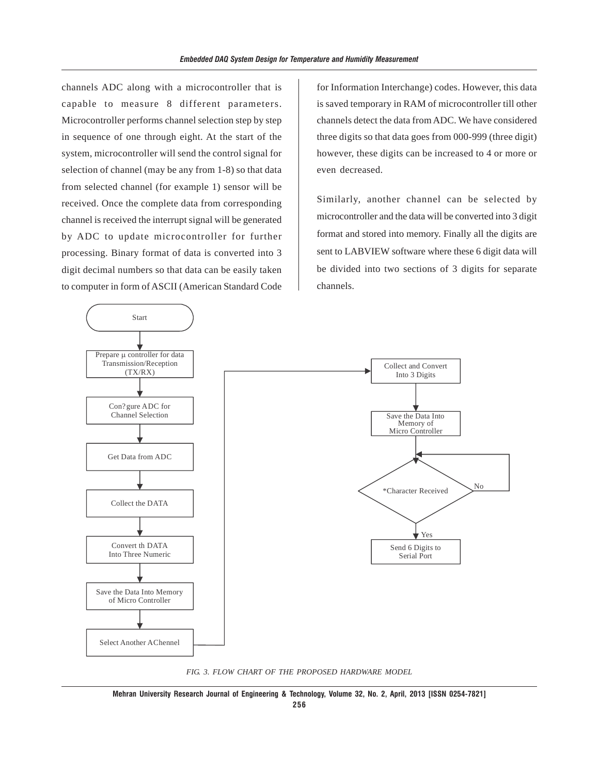channels ADC along with a microcontroller that is capable to measure 8 different parameters. Microcontroller performs channel selection step by step in sequence of one through eight. At the start of the system, microcontroller will send the control signal for selection of channel (may be any from 1-8) so that data from selected channel (for example 1) sensor will be received. Once the complete data from corresponding channel is received the interrupt signal will be generated by ADC to update microcontroller for further processing. Binary format of data is converted into 3 digit decimal numbers so that data can be easily taken to computer in form of ASCII (American Standard Code

for Information Interchange) codes. However, this data is saved temporary in RAM of microcontroller till other channels detect the data from ADC. We have considered three digits so that data goes from 000-999 (three digit) however, these digits can be increased to 4 or more or even decreased.

Similarly, another channel can be selected by microcontroller and the data will be converted into 3 digit format and stored into memory. Finally all the digits are sent to LABVIEW software where these 6 digit data will be divided into two sections of 3 digits for separate channels.



*FIG. 3. FLOW CHART OF THE PROPOSED HARDWARE MODEL*

**Mehran University Research Journal of Engineering & Technology, Volume 32, No. 2, April, 2013 [ISSN 0254-7821]**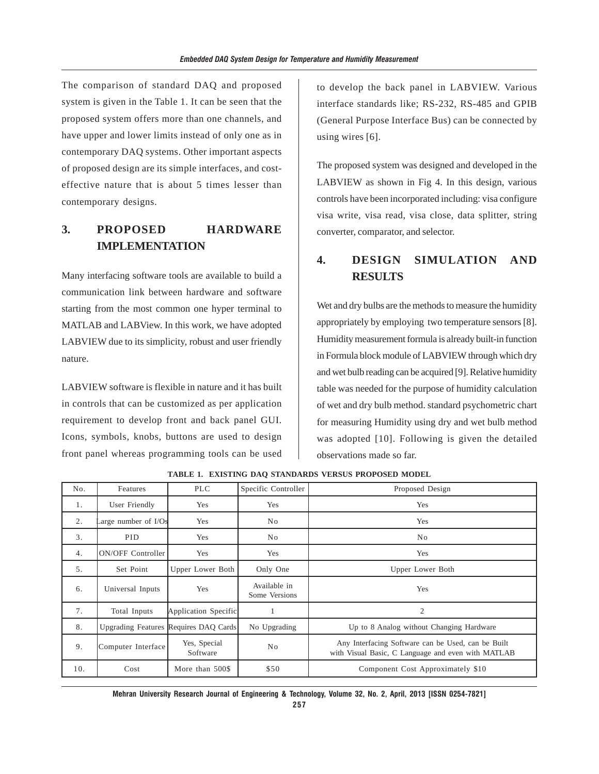The comparison of standard DAQ and proposed system is given in the Table 1. It can be seen that the proposed system offers more than one channels, and have upper and lower limits instead of only one as in contemporary DAQ systems. Other important aspects of proposed design are its simple interfaces, and costeffective nature that is about 5 times lesser than contemporary designs.

# **3. PROPOSED HARDWARE IMPLEMENTATION**

Many interfacing software tools are available to build a communication link between hardware and software starting from the most common one hyper terminal to MATLAB and LABView. In this work, we have adopted LABVIEW due to its simplicity, robust and user friendly nature.

LABVIEW software is flexible in nature and it has built in controls that can be customized as per application requirement to develop front and back panel GUI. Icons, symbols, knobs, buttons are used to design front panel whereas programming tools can be used

to develop the back panel in LABVIEW. Various interface standards like; RS-232, RS-485 and GPIB (General Purpose Interface Bus) can be connected by using wires [6].

The proposed system was designed and developed in the LABVIEW as shown in Fig 4. In this design, various controls have been incorporated including: visa configure visa write, visa read, visa close, data splitter, string converter, comparator, and selector.

# **4. DESIGN SIMULATION AND RESULTS**

Wet and dry bulbs are the methods to measure the humidity appropriately by employing two temperature sensors [8]. Humidity measurement formula is already built-in function in Formula block module of LABVIEW through which dry and wet bulb reading can be acquired [9]. Relative humidity table was needed for the purpose of humidity calculation of wet and dry bulb method. standard psychometric chart for measuring Humidity using dry and wet bulb method was adopted [10]. Following is given the detailed observations made so far.

| No. | Features                 | <b>PLC</b>                            | Specific Controller           | Proposed Design                                                                                          |  |
|-----|--------------------------|---------------------------------------|-------------------------------|----------------------------------------------------------------------------------------------------------|--|
| 1.  | User Friendly            | Yes                                   | Yes                           | Yes                                                                                                      |  |
| 2.  | Large number of I/Os     | Yes                                   | N <sub>o</sub>                | Yes                                                                                                      |  |
| 3.  | <b>PID</b>               | Yes                                   | N <sub>o</sub>                | N <sub>o</sub>                                                                                           |  |
| 4.  | <b>ON/OFF Controller</b> | Yes                                   | Yes                           | Yes                                                                                                      |  |
| 5.  | Set Point                | Upper Lower Both                      | Only One                      | Upper Lower Both                                                                                         |  |
| 6.  | Universal Inputs         | Yes                                   | Available in<br>Some Versions | Yes                                                                                                      |  |
| 7.  | Total Inputs             | Application Specific                  |                               | 2                                                                                                        |  |
| 8.  |                          | Upgrading Features Requires DAQ Cards | No Upgrading                  | Up to 8 Analog without Changing Hardware                                                                 |  |
| 9.  | Computer Interface       | Yes, Special<br>Software              | No                            | Any Interfacing Software can be Used, can be Built<br>with Visual Basic, C Language and even with MATLAB |  |
| 10. | Cost                     | More than 500\$                       | \$50                          | Component Cost Approximately \$10                                                                        |  |

**TABLE 1. EXISTING DAQ STANDARDS VERSUS PROPOSED MODEL**

**Mehran University Research Journal of Engineering & Technology, Volume 32, No. 2, April, 2013 [ISSN 0254-7821]**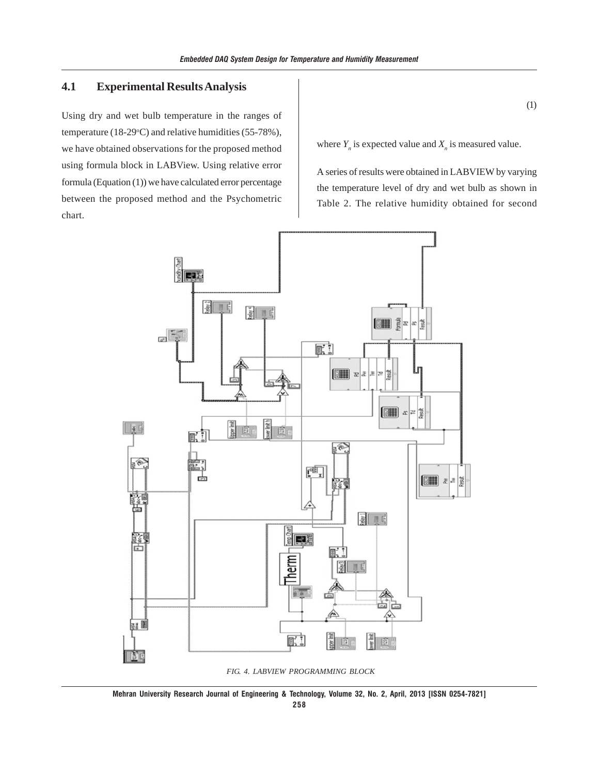### **4.1 Experimental Results Analysis**

Using dry and wet bulb temperature in the ranges of temperature (18-29 $\degree$ C) and relative humidities (55-78%), we have obtained observations for the proposed method using formula block in LABView. Using relative error formula (Equation (1)) we have calculated error percentage between the proposed method and the Psychometric chart.

(1)

where  $Y_n$  is expected value and  $X_n$  is measured value.

A series of results were obtained in LABVIEW by varying the temperature level of dry and wet bulb as shown in Table 2. The relative humidity obtained for second



 *FIG. 4. LABVIEW PROGRAMMING BLOCK*

**Mehran University Research Journal of Engineering & Technology, Volume 32, No. 2, April, 2013 [ISSN 0254-7821]**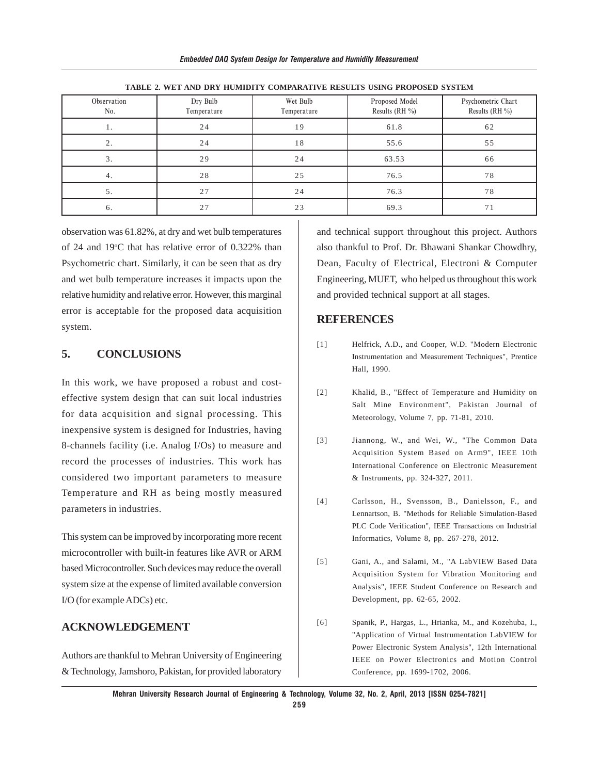| Observation<br>No. | Dry Bulb<br>Temperature | Wet Bulb<br>Temperature | Proposed Model<br>Results (RH $\%$ ) | Psychometric Chart<br>Results (RH $\%$ ) |  |  |  |  |
|--------------------|-------------------------|-------------------------|--------------------------------------|------------------------------------------|--|--|--|--|
|                    | 24                      | 19                      | 61.8                                 | 62                                       |  |  |  |  |
| 2.                 | 24                      | 18                      | 55.6                                 | 55                                       |  |  |  |  |
| 3.                 | 29                      | 24                      | 63.53                                | 66                                       |  |  |  |  |
| 4.                 | 28                      | 25                      | 76.5                                 | 78                                       |  |  |  |  |
| 5.                 | 27                      | 24                      | 76.3                                 | 78                                       |  |  |  |  |
| 6.                 | 27                      | 23                      | 69.3                                 | 71                                       |  |  |  |  |

**TABLE 2. WET AND DRY HUMIDITY COMPARATIVE RESULTS USING PROPOSED SYSTEM**

observation was 61.82%, at dry and wet bulb temperatures of 24 and 19°C that has relative error of 0.322% than Psychometric chart. Similarly, it can be seen that as dry and wet bulb temperature increases it impacts upon the relative humidity and relative error. However, this marginal error is acceptable for the proposed data acquisition system.

### **5. CONCLUSIONS**

In this work, we have proposed a robust and costeffective system design that can suit local industries for data acquisition and signal processing. This inexpensive system is designed for Industries, having 8-channels facility (i.e. Analog I/Os) to measure and record the processes of industries. This work has considered two important parameters to measure Temperature and RH as being mostly measured parameters in industries.

This system can be improved by incorporating more recent microcontroller with built-in features like AVR or ARM based Microcontroller. Such devices may reduce the overall system size at the expense of limited available conversion I/O (for example ADCs) etc.

#### **ACKNOWLEDGEMENT**

Authors are thankful to Mehran University of Engineering & Technology, Jamshoro, Pakistan, for provided laboratory

and technical support throughout this project. Authors also thankful to Prof. Dr. Bhawani Shankar Chowdhry, Dean, Faculty of Electrical, Electroni & Computer Engineering, MUET, who helped us throughout this work and provided technical support at all stages.

#### **REFERENCES**

- [1] Helfrick, A.D., and Cooper, W.D. "Modern Electronic Instrumentation and Measurement Techniques", Prentice Hall, 1990.
- [2] Khalid, B., "Effect of Temperature and Humidity on Salt Mine Environment", Pakistan Journal of Meteorology, Volume 7, pp. 71-81, 2010.
- [3] Jiannong, W., and Wei, W., "The Common Data Acquisition System Based on Arm9", IEEE 10th International Conference on Electronic Measurement & Instruments, pp. 324-327, 2011.
- [4] Carlsson, H., Svensson, B., Danielsson, F., and Lennartson, B. "Methods for Reliable Simulation-Based PLC Code Verification", IEEE Transactions on Industrial Informatics, Volume 8, pp. 267-278, 2012.
- [5] Gani, A., and Salami, M., "A LabVIEW Based Data Acquisition System for Vibration Monitoring and Analysis", IEEE Student Conference on Research and Development, pp. 62-65, 2002.
- [6] Spanik, P., Hargas, L., Hrianka, M., and Kozehuba, I., "Application of Virtual Instrumentation LabVIEW for Power Electronic System Analysis", 12th International IEEE on Power Electronics and Motion Control Conference, pp. 1699-1702, 2006.